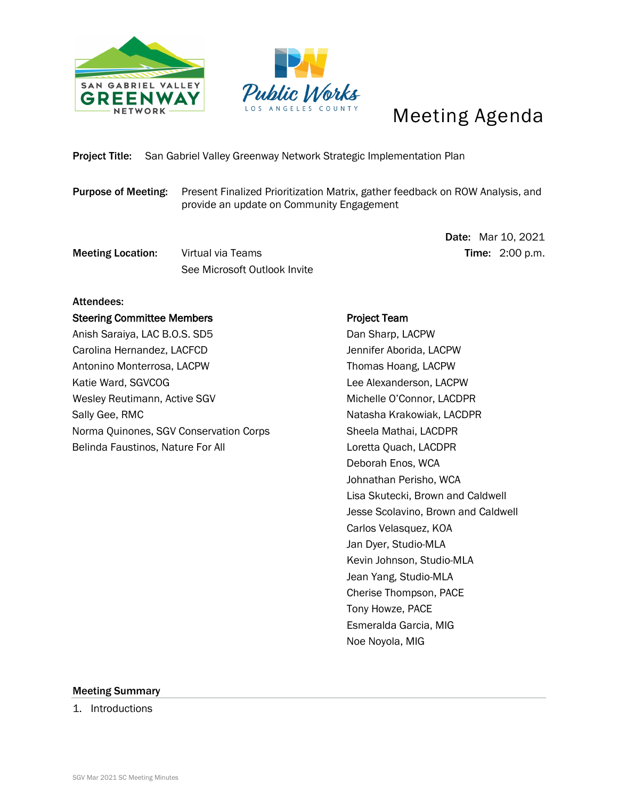



## Meeting Agenda

Project Title: San Gabriel Valley Greenway Network Strategic Implementation Plan

Purpose of Meeting: Present Finalized Prioritization Matrix, gather feedback on ROW Analysis, and provide an update on Community Engagement

**Meeting Location:** Virtual via Teams Time: 2:00 p.m. See Microsoft Outlook Invite

Date: Mar 10, 2021

## Attendees:

Steering Committee Members Anish Saraiya, LAC B.O.S. SD5 Carolina Hernandez, LACFCD Antonino Monterrosa, LACPW Katie Ward, SGVCOG Wesley Reutimann, Active SGV Sally Gee, RMC Norma Quinones, SGV Conservation Corps Belinda Faustinos, Nature For All

## Project Team

 Dan Sharp, LACPW Jennifer Aborida, LACPW Thomas Hoang, LACPW Lee Alexanderson, LACPW Michelle O'Connor, LACDPR Natasha Krakowiak, LACDPR Sheela Mathai, LACDPR Loretta Quach, LACDPR Deborah Enos, WCA Johnathan Perisho, WCA Lisa Skutecki, Brown and Caldwell Jesse Scolavino, Brown and Caldwell Carlos Velasquez, KOA Jan Dyer, Studio-MLA Kevin Johnson, Studio-MLA Jean Yang, Studio-MLA Cherise Thompson, PACE Tony Howze, PACE Esmeralda Garcia, MIG Noe Noyola, MIG

## Meeting Summary

1. Introductions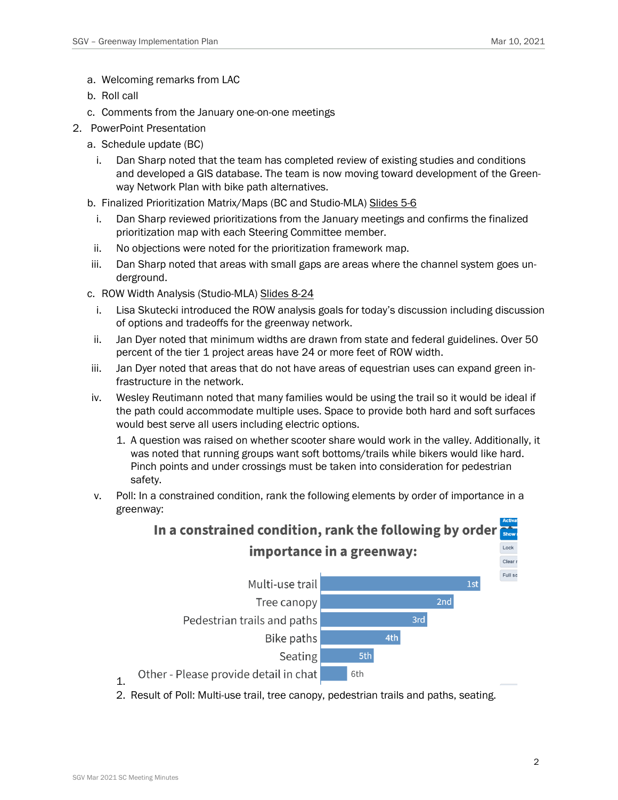- a. Welcoming remarks from LAC
- b. Roll call
- c. Comments from the January one-on-one meetings
- 2. PowerPoint Presentation
	- a. Schedule update (BC)
		- i. Dan Sharp noted that the team has completed review of existing studies and conditions and developed a GIS database. The team is now moving toward development of the Greenway Network Plan with bike path alternatives.

b. Finalized Prioritization Matrix/Maps (BC and Studio-MLA) Slides 5-6

- i. Dan Sharp reviewed prioritizations from the January meetings and confirms the finalized prioritization map with each Steering Committee member.
- ii. No objections were noted for the prioritization framework map.
- iii. Dan Sharp noted that areas with small gaps are areas where the channel system goes underground.
- c. ROW Width Analysis (Studio-MLA) Slides 8-24
	- i. Lisa Skutecki introduced the ROW analysis goals for today's discussion including discussion of options and tradeoffs for the greenway network.
- ii. Jan Dyer noted that minimum widths are drawn from state and federal guidelines. Over 50 percent of the tier 1 project areas have 24 or more feet of ROW width.
- iii. Jan Dyer noted that areas that do not have areas of equestrian uses can expand green infrastructure in the network.
- iv. Wesley Reutimann noted that many families would be using the trail so it would be ideal if the path could accommodate multiple uses. Space to provide both hard and soft surfaces would best serve all users including electric options.
	- 1. A question was raised on whether scooter share would work in the valley. Additionally, it was noted that running groups want soft bottoms/trails while bikers would like hard. Pinch points and under crossings must be taken into consideration for pedestrian safety.
- v. Poll: In a constrained condition, rank the following elements by order of importance in a greenway:



2. Result of Poll: Multi-use trail, tree canopy, pedestrian trails and paths, seating.

1.